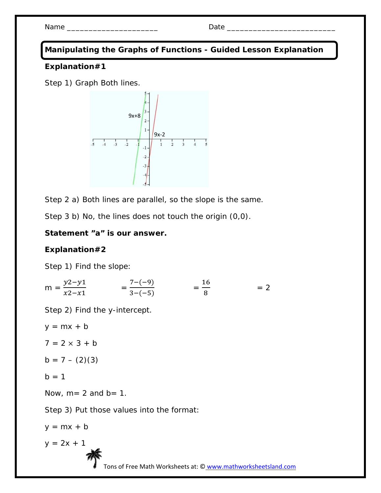Name \_\_\_\_\_\_\_\_\_\_\_\_\_\_\_\_\_\_\_\_\_ Date \_\_\_\_\_\_\_\_\_\_\_\_\_\_\_\_\_\_\_\_\_\_\_\_\_

**Manipulating the Graphs of Functions - Guided Lesson Explanation** 

#### **Explanation#1**

Step 1) Graph Both lines.



Step 2 a) Both lines are parallel, so the slope is the same.

Step 3 b) No, the lines does not touch the origin (0,0).

## **Statement "a" is our answer.**

## **Explanation#2**

Step 1) Find the slope:

$$
m = \frac{y^2 - y^1}{x^2 - x^1} = \frac{7 - (-9)}{3 - (-5)} = \frac{16}{8} = 2
$$

Step 2) Find the y-intercept.

$$
y = mx + b
$$
  
\n
$$
7 = 2 \times 3 + b
$$
  
\n
$$
b = 7 - (2)(3)
$$
  
\n
$$
b = 1
$$
  
\nNow, m = 2 and b = 1.  
\nStep 3) Put those values into the format:  
\n
$$
y = mx + b
$$
  
\n
$$
y = 2x + 1
$$
  
\nTons of Free Math Worksheets at: ③

www.mathworksheetsland.com